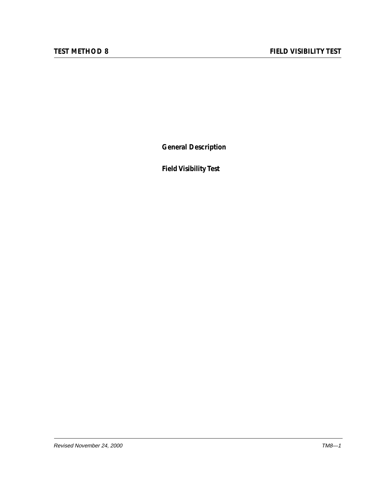**General Description**

**Field Visibility Test**